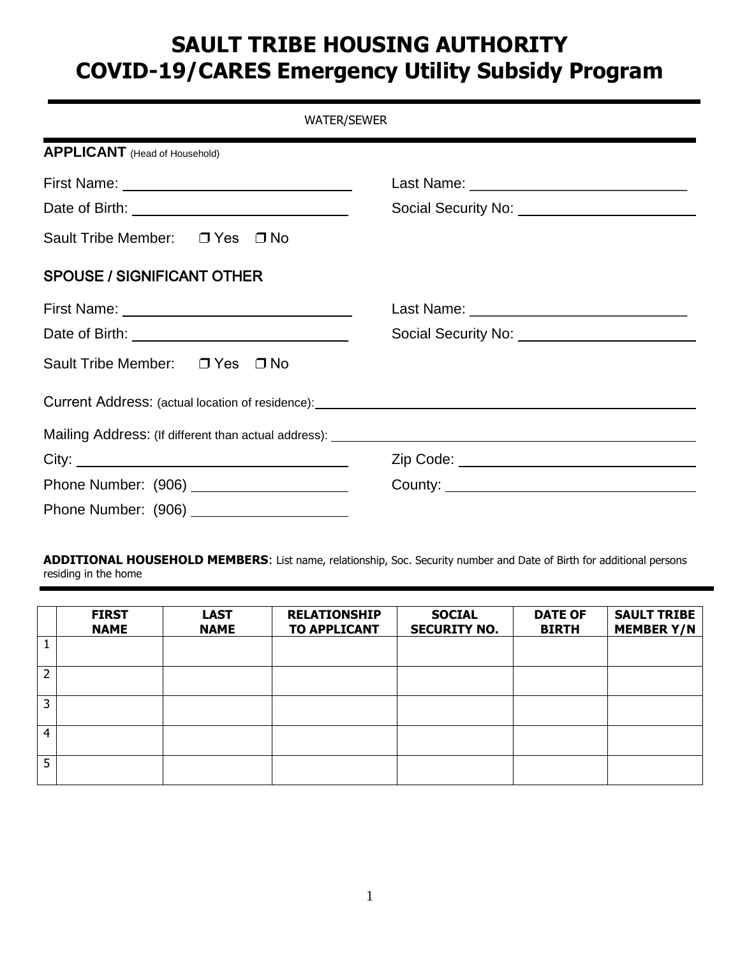# **SAULT TRIBE HOUSING AUTHORITY COVID-19/CARES Emergency Utility Subsidy Program**

| <b>WATER/SEWER</b>                                                                                                                                                                                                                   |  |  |
|--------------------------------------------------------------------------------------------------------------------------------------------------------------------------------------------------------------------------------------|--|--|
| <b>APPLICANT</b> (Head of Household)                                                                                                                                                                                                 |  |  |
|                                                                                                                                                                                                                                      |  |  |
| Date of Birth: <u>contract and a set of the set of the set of the set of the set of the set of the set of the set of the set of the set of the set of the set of the set of the set of the set of the set of the set of the set </u> |  |  |
| Sault Tribe Member: □ Yes □ No                                                                                                                                                                                                       |  |  |
| <b>SPOUSE / SIGNIFICANT OTHER</b>                                                                                                                                                                                                    |  |  |
|                                                                                                                                                                                                                                      |  |  |
| Date of Birth: <u>_______________________________</u>                                                                                                                                                                                |  |  |
| Sault Tribe Member: □ Yes □ No                                                                                                                                                                                                       |  |  |
|                                                                                                                                                                                                                                      |  |  |
|                                                                                                                                                                                                                                      |  |  |
|                                                                                                                                                                                                                                      |  |  |
| Phone Number: (906) ______________________                                                                                                                                                                                           |  |  |
| Phone Number: (906) ______________________                                                                                                                                                                                           |  |  |

**ADDITIONAL HOUSEHOLD MEMBERS**: List name, relationship, Soc. Security number and Date of Birth for additional persons residing in the home

|   | <b>FIRST</b><br><b>NAME</b> | <b>LAST</b><br><b>NAME</b> | <b>RELATIONSHIP</b><br><b>TO APPLICANT</b> | <b>SOCIAL</b><br><b>SECURITY NO.</b> | <b>DATE OF</b><br><b>BIRTH</b> | <b>SAULT TRIBE</b><br><b>MEMBER Y/N</b> |
|---|-----------------------------|----------------------------|--------------------------------------------|--------------------------------------|--------------------------------|-----------------------------------------|
|   |                             |                            |                                            |                                      |                                |                                         |
| 2 |                             |                            |                                            |                                      |                                |                                         |
| 3 |                             |                            |                                            |                                      |                                |                                         |
| 4 |                             |                            |                                            |                                      |                                |                                         |
| 5 |                             |                            |                                            |                                      |                                |                                         |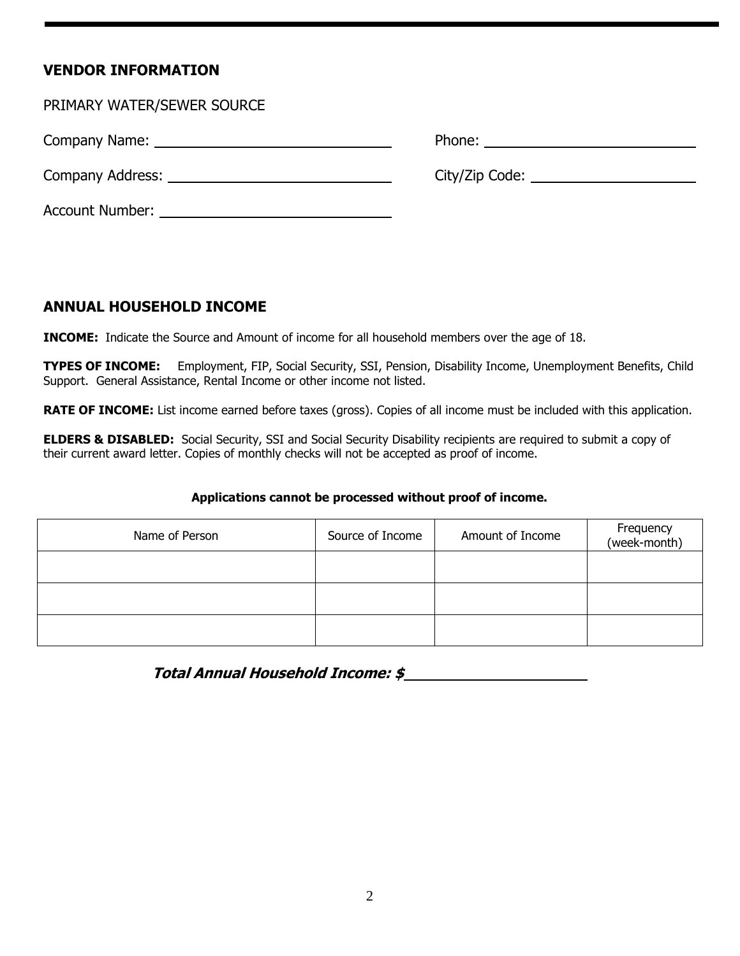### **VENDOR INFORMATION**

| PRIMARY WATER/SEWER SOURCE                                                                                                                                                                                                     |                                          |
|--------------------------------------------------------------------------------------------------------------------------------------------------------------------------------------------------------------------------------|------------------------------------------|
|                                                                                                                                                                                                                                |                                          |
|                                                                                                                                                                                                                                | City/Zip Code: _________________________ |
| Account Number: The Country of the Country of the Country of the Country of the Country of the Country of the Country of the Country of the Country of the Country of the Country of the Country of the Country of the Country |                                          |

#### **ANNUAL HOUSEHOLD INCOME**

**INCOME:** Indicate the Source and Amount of income for all household members over the age of 18.

**TYPES OF INCOME:** Employment, FIP, Social Security, SSI, Pension, Disability Income, Unemployment Benefits, Child Support. General Assistance, Rental Income or other income not listed.

**RATE OF INCOME:** List income earned before taxes (gross). Copies of all income must be included with this application.

**ELDERS & DISABLED:** Social Security, SSI and Social Security Disability recipients are required to submit a copy of their current award letter. Copies of monthly checks will not be accepted as proof of income.

#### **Applications cannot be processed without proof of income.**

| Name of Person | Source of Income | Amount of Income | Frequency<br>(week-month) |
|----------------|------------------|------------------|---------------------------|
|                |                  |                  |                           |
|                |                  |                  |                           |
|                |                  |                  |                           |

**Total Annual Household Income: \$**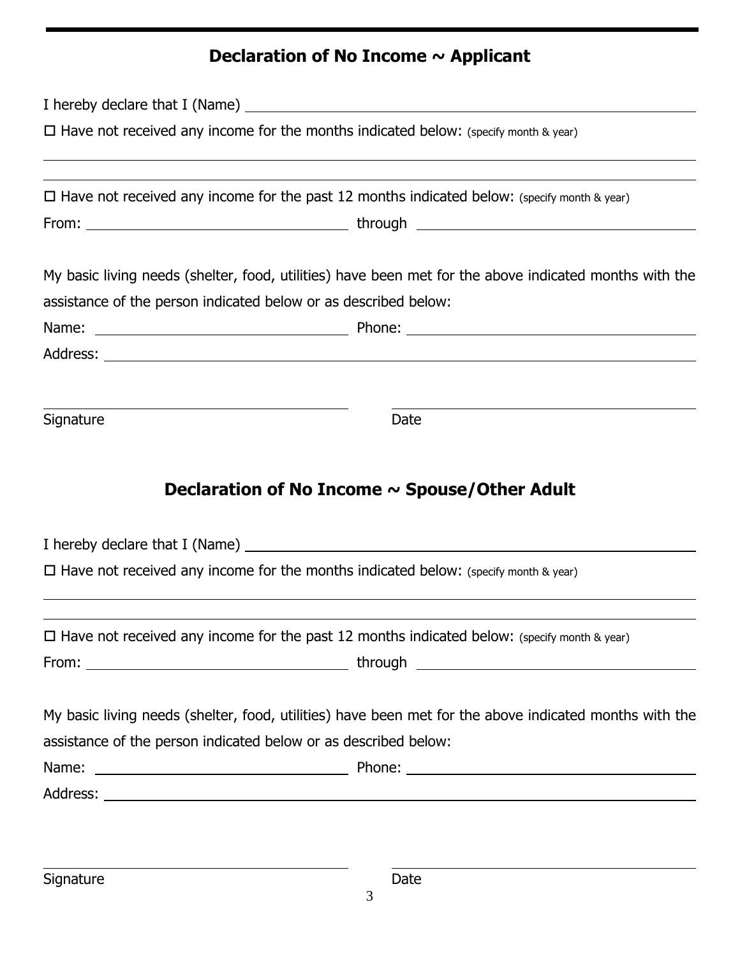## **Declaration of No Income ~ Applicant**

| $\Box$ Have not received any income for the months indicated below: (specify month & year) |                                                                                                        |  |
|--------------------------------------------------------------------------------------------|--------------------------------------------------------------------------------------------------------|--|
|                                                                                            | $\Box$ Have not received any income for the past 12 months indicated below: (specify month & year)     |  |
|                                                                                            |                                                                                                        |  |
|                                                                                            | My basic living needs (shelter, food, utilities) have been met for the above indicated months with the |  |
|                                                                                            | assistance of the person indicated below or as described below:                                        |  |
|                                                                                            |                                                                                                        |  |
|                                                                                            |                                                                                                        |  |
|                                                                                            |                                                                                                        |  |
|                                                                                            | Date                                                                                                   |  |
|                                                                                            | Declaration of No Income $\sim$ Spouse/Other Adult                                                     |  |
|                                                                                            |                                                                                                        |  |
|                                                                                            | $\Box$ Have not received any income for the months indicated below: (specify month & year)             |  |
|                                                                                            | $\Box$ Have not received any income for the past 12 months indicated below: (specify month & year)     |  |
| Signature                                                                                  |                                                                                                        |  |
|                                                                                            | My basic living needs (shelter, food, utilities) have been met for the above indicated months with the |  |
|                                                                                            | assistance of the person indicated below or as described below:                                        |  |
|                                                                                            |                                                                                                        |  |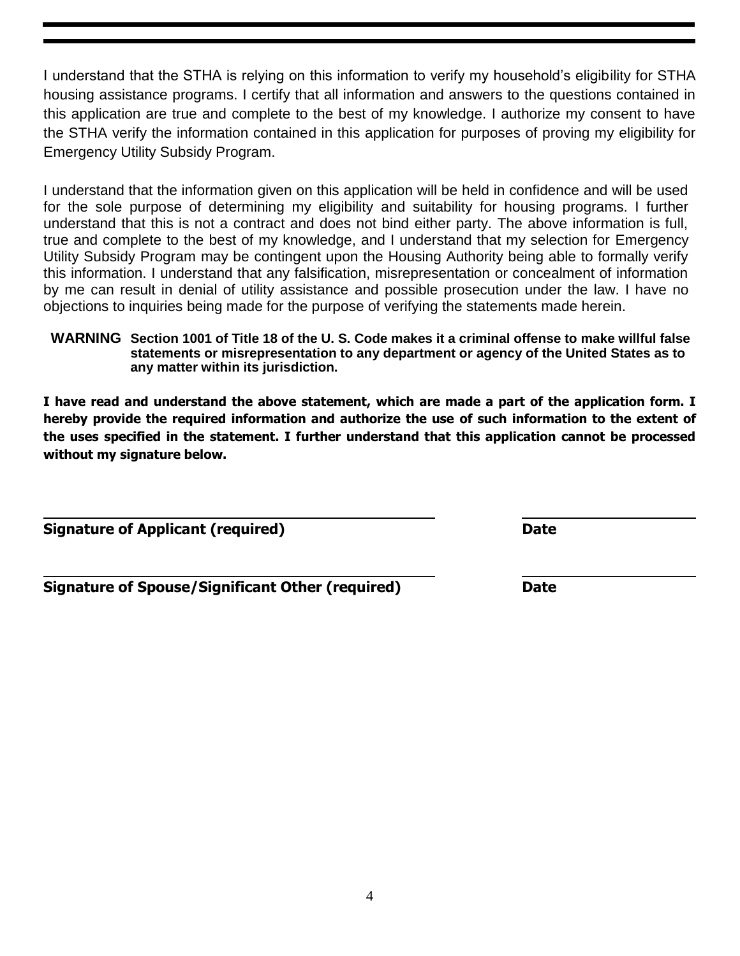I understand that the STHA is relying on this information to verify my household's eligibility for STHA housing assistance programs. I certify that all information and answers to the questions contained in this application are true and complete to the best of my knowledge. I authorize my consent to have the STHA verify the information contained in this application for purposes of proving my eligibility for Emergency Utility Subsidy Program.

I understand that the information given on this application will be held in confidence and will be used for the sole purpose of determining my eligibility and suitability for housing programs. I further understand that this is not a contract and does not bind either party. The above information is full, true and complete to the best of my knowledge, and I understand that my selection for Emergency Utility Subsidy Program may be contingent upon the Housing Authority being able to formally verify this information. I understand that any falsification, misrepresentation or concealment of information by me can result in denial of utility assistance and possible prosecution under the law. I have no objections to inquiries being made for the purpose of verifying the statements made herein.

**WARNING Section 1001 of Title 18 of the U. S. Code makes it a criminal offense to make willful false statements or misrepresentation to any department or agency of the United States as to any matter within its jurisdiction.**

**I have read and understand the above statement, which are made a part of the application form. I hereby provide the required information and authorize the use of such information to the extent of the uses specified in the statement. I further understand that this application cannot be processed without my signature below.** 

**Signature of Applicant (required) Signature Date** 

**Signature of Spouse/Significant Other (required) Date**